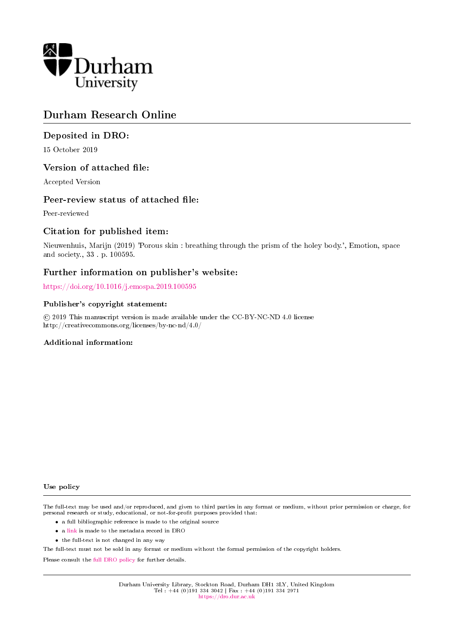

# Durham Research Online

# Deposited in DRO:

15 October 2019

### Version of attached file:

Accepted Version

### Peer-review status of attached file:

Peer-reviewed

# Citation for published item:

Nieuwenhuis, Marijn (2019) 'Porous skin : breathing through the prism of the holey body.', Emotion, space and society., 33 . p. 100595.

# Further information on publisher's website:

<https://doi.org/10.1016/j.emospa.2019.100595>

### Publisher's copyright statement:

 c 2019 This manuscript version is made available under the CC-BY-NC-ND 4.0 license http://creativecommons.org/licenses/by-nc-nd/4.0/

### Additional information:

#### Use policy

The full-text may be used and/or reproduced, and given to third parties in any format or medium, without prior permission or charge, for personal research or study, educational, or not-for-profit purposes provided that:

- a full bibliographic reference is made to the original source
- a [link](http://dro.dur.ac.uk/29320/) is made to the metadata record in DRO
- the full-text is not changed in any way

The full-text must not be sold in any format or medium without the formal permission of the copyright holders.

Please consult the [full DRO policy](https://dro.dur.ac.uk/policies/usepolicy.pdf) for further details.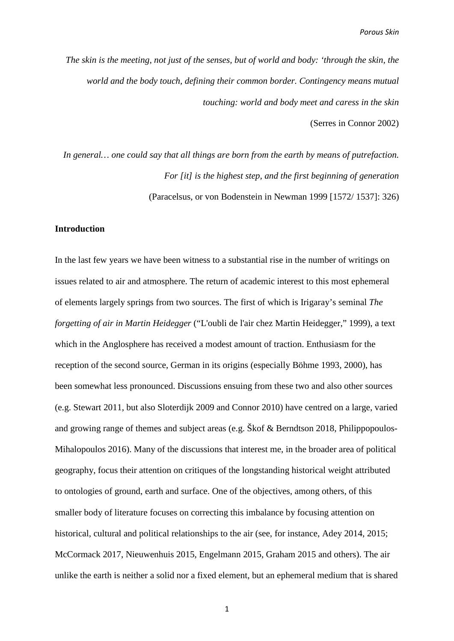*The skin is the meeting, not just of the senses, but of world and body: 'through the skin, the world and the body touch, defining their common border. Contingency means mutual touching: world and body meet and caress in the skin*

(Serres in Connor 2002)

*In general… one could say that all things are born from the earth by means of putrefaction. For [it] is the highest step, and the first beginning of generation* (Paracelsus, or von Bodenstein in Newman 1999 [1572/ 1537]: 326)

### **Introduction**

In the last few years we have been witness to a substantial rise in the number of writings on issues related to air and atmosphere. The return of academic interest to this most ephemeral of elements largely springs from two sources. The first of which is Irigaray's seminal *The forgetting of air in Martin Heidegger* ("L'oubli de l'air chez Martin Heidegger," 1999), a text which in the Anglosphere has received a modest amount of traction. Enthusiasm for the reception of the second source, German in its origins (especially Böhme 1993, 2000), has been somewhat less pronounced. Discussions ensuing from these two and also other sources (e.g. Stewart 2011, but also Sloterdijk 2009 and Connor 2010) have centred on a large, varied and growing range of themes and subject areas (e.g. Škof & Berndtson 2018, Philippopoulos-Mihalopoulos 2016). Many of the discussions that interest me, in the broader area of political geography, focus their attention on critiques of the longstanding historical weight attributed to ontologies of ground, earth and surface. One of the objectives, among others, of this smaller body of literature focuses on correcting this imbalance by focusing attention on historical, cultural and political relationships to the air (see, for instance, Adey 2014, 2015; McCormack 2017, Nieuwenhuis 2015, Engelmann 2015, Graham 2015 and others). The air unlike the earth is neither a solid nor a fixed element, but an ephemeral medium that is shared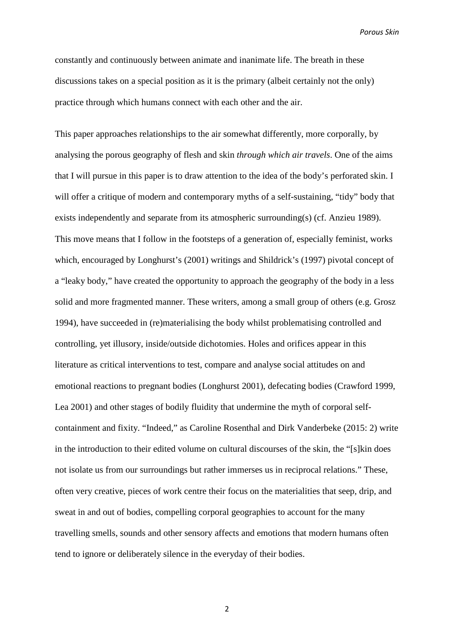constantly and continuously between animate and inanimate life. The breath in these discussions takes on a special position as it is the primary (albeit certainly not the only) practice through which humans connect with each other and the air.

This paper approaches relationships to the air somewhat differently, more corporally, by analysing the porous geography of flesh and skin *through which air travels*. One of the aims that I will pursue in this paper is to draw attention to the idea of the body's perforated skin. I will offer a critique of modern and contemporary myths of a self-sustaining, "tidy" body that exists independently and separate from its atmospheric surrounding(s) (cf. Anzieu 1989). This move means that I follow in the footsteps of a generation of, especially feminist, works which, encouraged by Longhurst's (2001) writings and Shildrick's (1997) pivotal concept of a "leaky body," have created the opportunity to approach the geography of the body in a less solid and more fragmented manner. These writers, among a small group of others (e.g. Grosz 1994), have succeeded in (re)materialising the body whilst problematising controlled and controlling, yet illusory, inside/outside dichotomies. Holes and orifices appear in this literature as critical interventions to test, compare and analyse social attitudes on and emotional reactions to pregnant bodies (Longhurst 2001), defecating bodies (Crawford 1999, Lea 2001) and other stages of bodily fluidity that undermine the myth of corporal selfcontainment and fixity. "Indeed," as Caroline Rosenthal and Dirk Vanderbeke (2015: 2) write in the introduction to their edited volume on cultural discourses of the skin, the "[s]kin does not isolate us from our surroundings but rather immerses us in reciprocal relations." These, often very creative, pieces of work centre their focus on the materialities that seep, drip, and sweat in and out of bodies, compelling corporal geographies to account for the many travelling smells, sounds and other sensory affects and emotions that modern humans often tend to ignore or deliberately silence in the everyday of their bodies.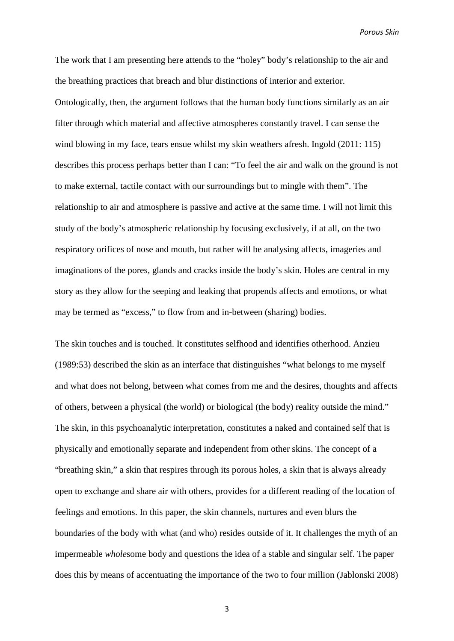The work that I am presenting here attends to the "holey" body's relationship to the air and the breathing practices that breach and blur distinctions of interior and exterior. Ontologically, then, the argument follows that the human body functions similarly as an air filter through which material and affective atmospheres constantly travel. I can sense the wind blowing in my face, tears ensue whilst my skin weathers afresh. Ingold (2011: 115) describes this process perhaps better than I can: "To feel the air and walk on the ground is not to make external, tactile contact with our surroundings but to mingle with them". The relationship to air and atmosphere is passive and active at the same time. I will not limit this study of the body's atmospheric relationship by focusing exclusively, if at all, on the two respiratory orifices of nose and mouth, but rather will be analysing affects, imageries and imaginations of the pores, glands and cracks inside the body's skin. Holes are central in my story as they allow for the seeping and leaking that propends affects and emotions, or what may be termed as "excess," to flow from and in-between (sharing) bodies.

The skin touches and is touched. It constitutes selfhood and identifies otherhood. Anzieu (1989:53) described the skin as an interface that distinguishes "what belongs to me myself and what does not belong, between what comes from me and the desires, thoughts and affects of others, between a physical (the world) or biological (the body) reality outside the mind." The skin, in this psychoanalytic interpretation, constitutes a naked and contained self that is physically and emotionally separate and independent from other skins. The concept of a "breathing skin," a skin that respires through its porous holes, a skin that is always already open to exchange and share air with others, provides for a different reading of the location of feelings and emotions. In this paper, the skin channels, nurtures and even blurs the boundaries of the body with what (and who) resides outside of it. It challenges the myth of an impermeable *whole*some body and questions the idea of a stable and singular self. The paper does this by means of accentuating the importance of the two to four million (Jablonski 2008)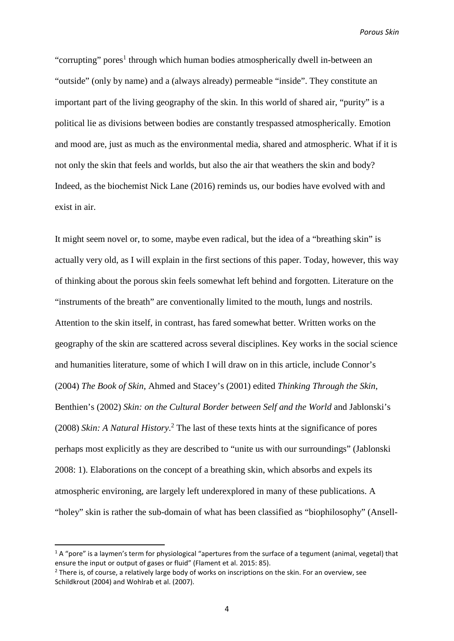"corrupting" pores<sup>1</sup> through which human bodies atmospherically dwell in-between an "outside" (only by name) and a (always already) permeable "inside". They constitute an important part of the living geography of the skin. In this world of shared air, "purity" is a political lie as divisions between bodies are constantly trespassed atmospherically. Emotion and mood are, just as much as the environmental media, shared and atmospheric. What if it is not only the skin that feels and worlds, but also the air that weathers the skin and body? Indeed, as the biochemist Nick Lane (2016) reminds us, our bodies have evolved with and exist in air.

It might seem novel or, to some, maybe even radical, but the idea of a "breathing skin" is actually very old, as I will explain in the first sections of this paper. Today, however, this way of thinking about the porous skin feels somewhat left behind and forgotten. Literature on the "instruments of the breath" are conventionally limited to the mouth, lungs and nostrils. Attention to the skin itself, in contrast, has fared somewhat better. Written works on the geography of the skin are scattered across several disciplines. Key works in the social science and humanities literature, some of which I will draw on in this article, include Connor's (2004) *The Book of Skin*, Ahmed and Stacey's (2001) edited *Thinking Through the Skin*, Benthien's (2002) *Skin: on the Cultural Border between Self and the World* and Jablonski's (2008) *Skin: A Natural History*. <sup>2</sup> The last of these texts hints at the significance of pores perhaps most explicitly as they are described to "unite us with our surroundings" (Jablonski 2008: 1). Elaborations on the concept of a breathing skin, which absorbs and expels its atmospheric environing, are largely left underexplored in many of these publications. A "holey" skin is rather the sub-domain of what has been classified as "biophilosophy" (Ansell-

<sup>&</sup>lt;sup>1</sup> A "pore" is a laymen's term for physiological "apertures from the surface of a tegument (animal, vegetal) that ensure the input or output of gases or fluid" (Flament et al. 2015: 85).

 $<sup>2</sup>$  There is, of course, a relatively large body of works on inscriptions on the skin. For an overview, see</sup> Schildkrout (2004) and Wohlrab et al. (2007).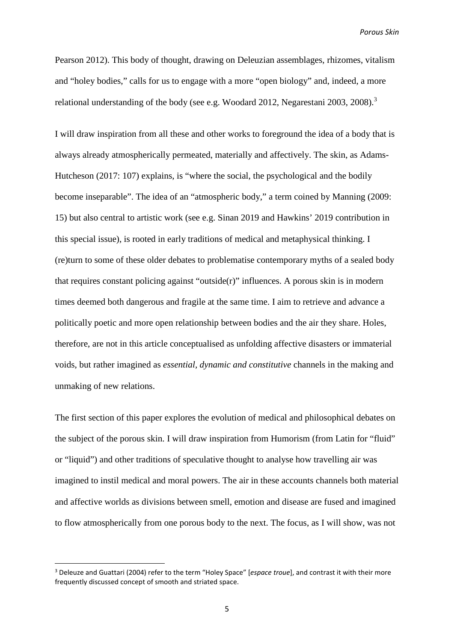Pearson 2012). This body of thought, drawing on Deleuzian assemblages, rhizomes, vitalism and "holey bodies," calls for us to engage with a more "open biology" and, indeed, a more relational understanding of the body (see e.g. Woodard 2012, Negarestani 2003, 2008).<sup>3</sup>

I will draw inspiration from all these and other works to foreground the idea of a body that is always already atmospherically permeated, materially and affectively. The skin, as Adams-Hutcheson (2017: 107) explains, is "where the social, the psychological and the bodily become inseparable". The idea of an "atmospheric body," a term coined by Manning (2009: 15) but also central to artistic work (see e.g. Sinan 2019 and Hawkins' 2019 contribution in this special issue), is rooted in early traditions of medical and metaphysical thinking. I (re)turn to some of these older debates to problematise contemporary myths of a sealed body that requires constant policing against "outside $(r)$ " influences. A porous skin is in modern times deemed both dangerous and fragile at the same time. I aim to retrieve and advance a politically poetic and more open relationship between bodies and the air they share. Holes, therefore, are not in this article conceptualised as unfolding affective disasters or immaterial voids, but rather imagined as *essential, dynamic and constitutive* channels in the making and unmaking of new relations.

The first section of this paper explores the evolution of medical and philosophical debates on the subject of the porous skin. I will draw inspiration from Humorism (from Latin for "fluid" or "liquid") and other traditions of speculative thought to analyse how travelling air was imagined to instil medical and moral powers. The air in these accounts channels both material and affective worlds as divisions between smell, emotion and disease are fused and imagined to flow atmospherically from one porous body to the next. The focus, as I will show, was not

 <sup>3</sup> Deleuze and Guattari (2004) refer to the term "Holey Space" [*espace troue*], and contrast it with their more frequently discussed concept of smooth and striated space.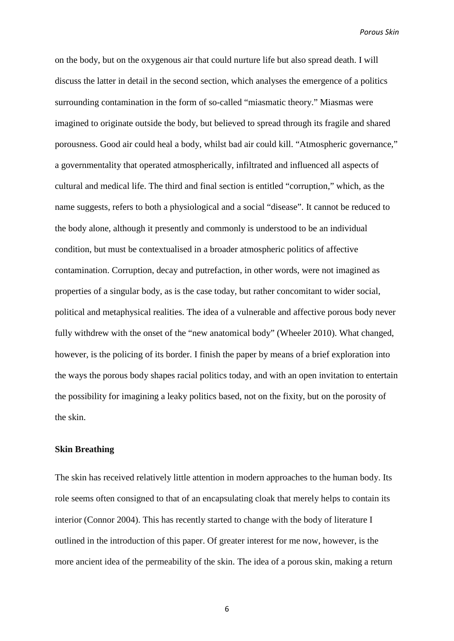on the body, but on the oxygenous air that could nurture life but also spread death. I will discuss the latter in detail in the second section, which analyses the emergence of a politics surrounding contamination in the form of so-called "miasmatic theory." Miasmas were imagined to originate outside the body, but believed to spread through its fragile and shared porousness. Good air could heal a body, whilst bad air could kill. "Atmospheric governance," a governmentality that operated atmospherically, infiltrated and influenced all aspects of cultural and medical life. The third and final section is entitled "corruption," which, as the name suggests, refers to both a physiological and a social "disease". It cannot be reduced to the body alone, although it presently and commonly is understood to be an individual condition, but must be contextualised in a broader atmospheric politics of affective contamination. Corruption, decay and putrefaction, in other words, were not imagined as properties of a singular body, as is the case today, but rather concomitant to wider social, political and metaphysical realities. The idea of a vulnerable and affective porous body never fully withdrew with the onset of the "new anatomical body" (Wheeler 2010). What changed, however, is the policing of its border. I finish the paper by means of a brief exploration into the ways the porous body shapes racial politics today, and with an open invitation to entertain the possibility for imagining a leaky politics based, not on the fixity, but on the porosity of the skin.

### **Skin Breathing**

The skin has received relatively little attention in modern approaches to the human body. Its role seems often consigned to that of an encapsulating cloak that merely helps to contain its interior (Connor 2004). This has recently started to change with the body of literature I outlined in the introduction of this paper. Of greater interest for me now, however, is the more ancient idea of the permeability of the skin. The idea of a porous skin, making a return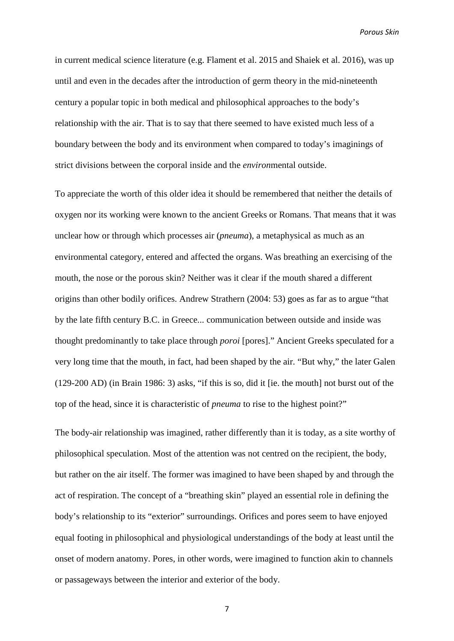in current medical science literature (e.g. Flament et al. 2015 and Shaiek et al. 2016), was up until and even in the decades after the introduction of germ theory in the mid-nineteenth century a popular topic in both medical and philosophical approaches to the body's relationship with the air. That is to say that there seemed to have existed much less of a boundary between the body and its environment when compared to today's imaginings of strict divisions between the corporal inside and the *environ*mental outside.

To appreciate the worth of this older idea it should be remembered that neither the details of oxygen nor its working were known to the ancient Greeks or Romans. That means that it was unclear how or through which processes air (*pneuma*), a metaphysical as much as an environmental category, entered and affected the organs. Was breathing an exercising of the mouth, the nose or the porous skin? Neither was it clear if the mouth shared a different origins than other bodily orifices. Andrew Strathern (2004: 53) goes as far as to argue "that by the late fifth century B.C. in Greece... communication between outside and inside was thought predominantly to take place through *poroi* [pores]." Ancient Greeks speculated for a very long time that the mouth, in fact, had been shaped by the air. "But why," the later Galen (129-200 AD) (in Brain 1986: 3) asks, "if this is so, did it [ie. the mouth] not burst out of the top of the head, since it is characteristic of *pneuma* to rise to the highest point?"

The body-air relationship was imagined, rather differently than it is today, as a site worthy of philosophical speculation. Most of the attention was not centred on the recipient, the body, but rather on the air itself. The former was imagined to have been shaped by and through the act of respiration. The concept of a "breathing skin" played an essential role in defining the body's relationship to its "exterior" surroundings. Orifices and pores seem to have enjoyed equal footing in philosophical and physiological understandings of the body at least until the onset of modern anatomy. Pores, in other words, were imagined to function akin to channels or passageways between the interior and exterior of the body.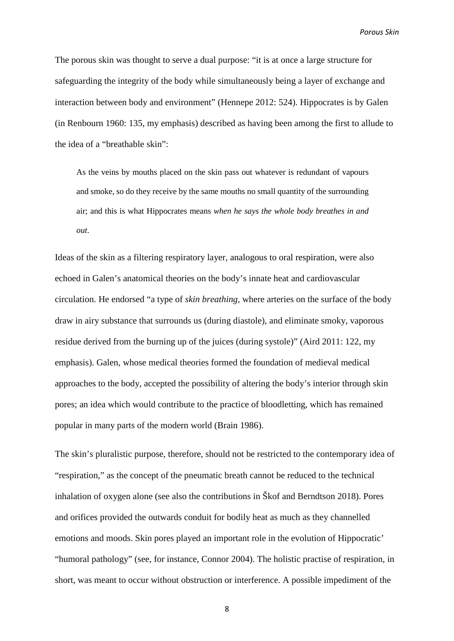The porous skin was thought to serve a dual purpose: "it is at once a large structure for safeguarding the integrity of the body while simultaneously being a layer of exchange and interaction between body and environment" (Hennepe 2012: 524). Hippocrates is by Galen (in Renbourn 1960: 135, my emphasis) described as having been among the first to allude to the idea of a "breathable skin":

As the veins by mouths placed on the skin pass out whatever is redundant of vapours and smoke, so do they receive by the same mouths no small quantity of the surrounding air; and this is what Hippocrates means *when he says the whole body breathes in and out*.

Ideas of the skin as a filtering respiratory layer, analogous to oral respiration, were also echoed in Galen's anatomical theories on the body's innate heat and cardiovascular circulation. He endorsed "a type of *skin breathing*, where arteries on the surface of the body draw in airy substance that surrounds us (during diastole), and eliminate smoky, vaporous residue derived from the burning up of the juices (during systole)" (Aird 2011: 122, my emphasis). Galen, whose medical theories formed the foundation of medieval medical approaches to the body, accepted the possibility of altering the body's interior through skin pores; an idea which would contribute to the practice of bloodletting, which has remained popular in many parts of the modern world (Brain 1986).

The skin's pluralistic purpose, therefore, should not be restricted to the contemporary idea of "respiration," as the concept of the pneumatic breath cannot be reduced to the technical inhalation of oxygen alone (see also the contributions in Škof and Berndtson 2018). Pores and orifices provided the outwards conduit for bodily heat as much as they channelled emotions and moods. Skin pores played an important role in the evolution of Hippocratic' "humoral pathology" (see, for instance, Connor 2004). The holistic practise of respiration, in short, was meant to occur without obstruction or interference. A possible impediment of the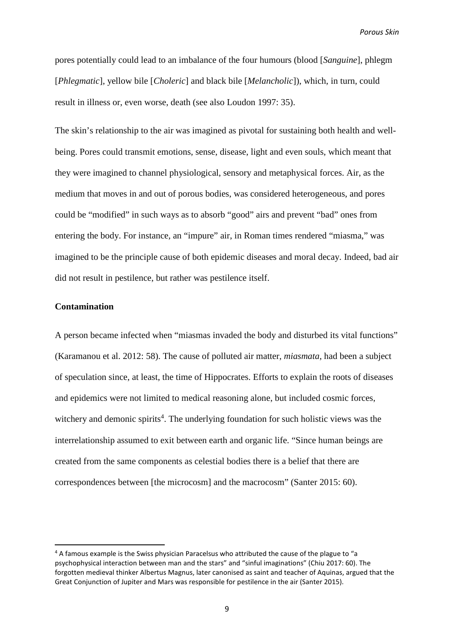pores potentially could lead to an imbalance of the four humours (blood [*Sanguine*], phlegm [*Phlegmatic*], yellow bile [*Choleric*] and black bile [*Melancholic*]), which, in turn, could result in illness or, even worse, death (see also Loudon 1997: 35).

The skin's relationship to the air was imagined as pivotal for sustaining both health and wellbeing. Pores could transmit emotions, sense, disease, light and even souls, which meant that they were imagined to channel physiological, sensory and metaphysical forces. Air, as the medium that moves in and out of porous bodies, was considered heterogeneous, and pores could be "modified" in such ways as to absorb "good" airs and prevent "bad" ones from entering the body. For instance, an "impure" air, in Roman times rendered "miasma," was imagined to be the principle cause of both epidemic diseases and moral decay. Indeed, bad air did not result in pestilence, but rather was pestilence itself.

# **Contamination**

A person became infected when "miasmas invaded the body and disturbed its vital functions" (Karamanou et al. 2012: 58). The cause of polluted air matter, *miasmata*, had been a subject of speculation since, at least, the time of Hippocrates. Efforts to explain the roots of diseases and epidemics were not limited to medical reasoning alone, but included cosmic forces, witchery and demonic spirits<sup>4</sup>. The underlying foundation for such holistic views was the interrelationship assumed to exit between earth and organic life. "Since human beings are created from the same components as celestial bodies there is a belief that there are correspondences between [the microcosm] and the macrocosm" (Santer 2015: 60).

 <sup>4</sup> A famous example is the Swiss physician Paracelsus who attributed the cause of the plague to "a psychophysical interaction between man and the stars" and "sinful imaginations" (Chiu 2017: 60). The forgotten medieval thinker Albertus Magnus, later canonised as saint and teacher of Aquinas, argued that the Great Conjunction of Jupiter and Mars was responsible for pestilence in the air (Santer 2015).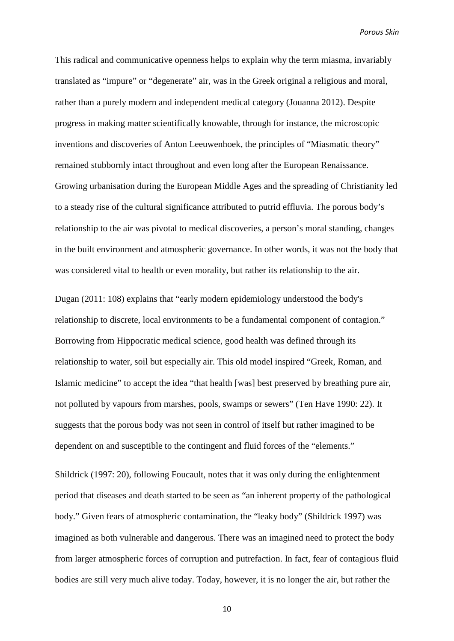This radical and communicative openness helps to explain why the term miasma, invariably translated as "impure" or "degenerate" air, was in the Greek original a religious and moral, rather than a purely modern and independent medical category (Jouanna 2012). Despite progress in making matter scientifically knowable, through for instance, the microscopic inventions and discoveries of Anton Leeuwenhoek, the principles of "Miasmatic theory" remained stubbornly intact throughout and even long after the European Renaissance. Growing urbanisation during the European Middle Ages and the spreading of Christianity led to a steady rise of the cultural significance attributed to putrid effluvia. The porous body's relationship to the air was pivotal to medical discoveries, a person's moral standing, changes in the built environment and atmospheric governance. In other words, it was not the body that was considered vital to health or even morality, but rather its relationship to the air.

Dugan (2011: 108) explains that "early modern epidemiology understood the body's relationship to discrete, local environments to be a fundamental component of contagion." Borrowing from Hippocratic medical science, good health was defined through its relationship to water, soil but especially air. This old model inspired "Greek, Roman, and Islamic medicine" to accept the idea "that health [was] best preserved by breathing pure air, not polluted by vapours from marshes, pools, swamps or sewers" (Ten Have 1990: 22). It suggests that the porous body was not seen in control of itself but rather imagined to be dependent on and susceptible to the contingent and fluid forces of the "elements."

Shildrick (1997: 20), following Foucault, notes that it was only during the enlightenment period that diseases and death started to be seen as "an inherent property of the pathological body." Given fears of atmospheric contamination, the "leaky body" (Shildrick 1997) was imagined as both vulnerable and dangerous. There was an imagined need to protect the body from larger atmospheric forces of corruption and putrefaction. In fact, fear of contagious fluid bodies are still very much alive today. Today, however, it is no longer the air, but rather the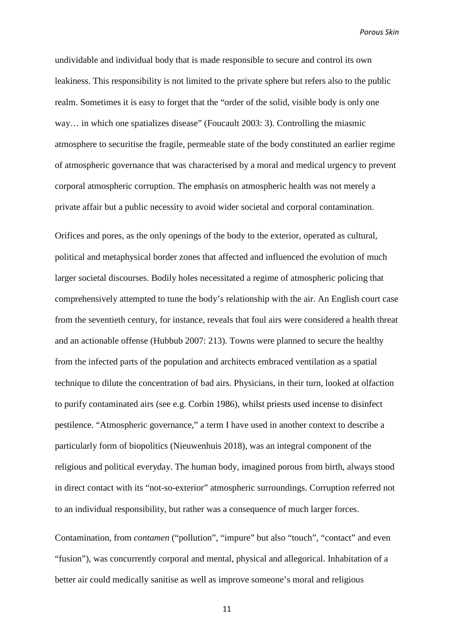undividable and individual body that is made responsible to secure and control its own leakiness. This responsibility is not limited to the private sphere but refers also to the public realm. Sometimes it is easy to forget that the "order of the solid, visible body is only one way… in which one spatializes disease" (Foucault 2003: 3). Controlling the miasmic atmosphere to securitise the fragile, permeable state of the body constituted an earlier regime of atmospheric governance that was characterised by a moral and medical urgency to prevent corporal atmospheric corruption. The emphasis on atmospheric health was not merely a private affair but a public necessity to avoid wider societal and corporal contamination.

Orifices and pores, as the only openings of the body to the exterior, operated as cultural, political and metaphysical border zones that affected and influenced the evolution of much larger societal discourses. Bodily holes necessitated a regime of atmospheric policing that comprehensively attempted to tune the body's relationship with the air. An English court case from the seventieth century, for instance, reveals that foul airs were considered a health threat and an actionable offense (Hubbub 2007: 213). Towns were planned to secure the healthy from the infected parts of the population and architects embraced ventilation as a spatial technique to dilute the concentration of bad airs. Physicians, in their turn, looked at olfaction to purify contaminated airs (see e.g. Corbin 1986), whilst priests used incense to disinfect pestilence. "Atmospheric governance," a term I have used in another context to describe a particularly form of biopolitics (Nieuwenhuis 2018), was an integral component of the religious and political everyday. The human body, imagined porous from birth, always stood in direct contact with its "not-so-exterior" atmospheric surroundings. Corruption referred not to an individual responsibility, but rather was a consequence of much larger forces.

Contamination, from *contamen* ("pollution", "impure" but also "touch", "contact" and even "fusion"), was concurrently corporal and mental, physical and allegorical. Inhabitation of a better air could medically sanitise as well as improve someone's moral and religious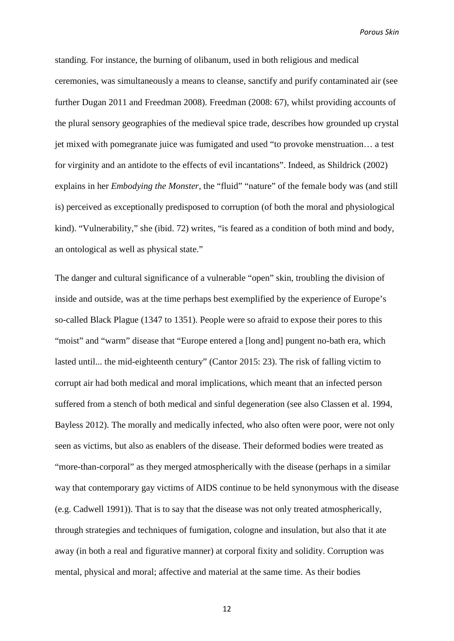standing. For instance, the burning of olibanum, used in both religious and medical ceremonies, was simultaneously a means to cleanse, sanctify and purify contaminated air (see further Dugan 2011 and Freedman 2008). Freedman (2008: 67), whilst providing accounts of the plural sensory geographies of the medieval spice trade, describes how grounded up crystal jet mixed with pomegranate juice was fumigated and used "to provoke menstruation… a test for virginity and an antidote to the effects of evil incantations". Indeed, as Shildrick (2002) explains in her *Embodying the Monster*, the "fluid" "nature" of the female body was (and still is) perceived as exceptionally predisposed to corruption (of both the moral and physiological kind). "Vulnerability," she (ibid. 72) writes, "is feared as a condition of both mind and body, an ontological as well as physical state."

The danger and cultural significance of a vulnerable "open" skin, troubling the division of inside and outside, was at the time perhaps best exemplified by the experience of Europe's so-called Black Plague (1347 to 1351). People were so afraid to expose their pores to this "moist" and "warm" disease that "Europe entered a [long and] pungent no-bath era, which lasted until... the mid-eighteenth century" (Cantor 2015: 23). The risk of falling victim to corrupt air had both medical and moral implications, which meant that an infected person suffered from a stench of both medical and sinful degeneration (see also Classen et al. 1994, Bayless 2012). The morally and medically infected, who also often were poor, were not only seen as victims, but also as enablers of the disease. Their deformed bodies were treated as "more-than-corporal" as they merged atmospherically with the disease (perhaps in a similar way that contemporary gay victims of AIDS continue to be held synonymous with the disease (e.g. Cadwell 1991)). That is to say that the disease was not only treated atmospherically, through strategies and techniques of fumigation, cologne and insulation, but also that it ate away (in both a real and figurative manner) at corporal fixity and solidity. Corruption was mental, physical and moral; affective and material at the same time. As their bodies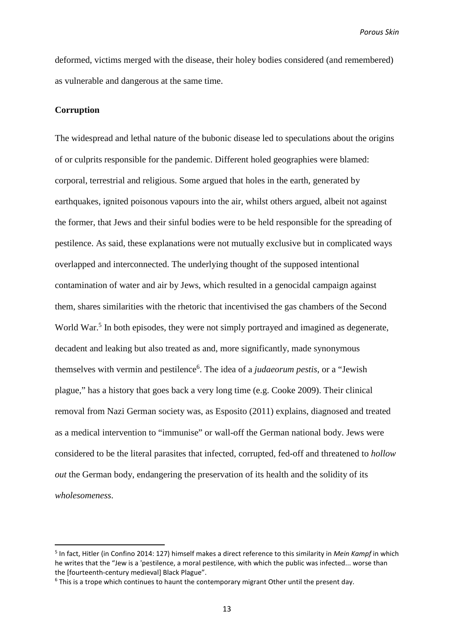deformed, victims merged with the disease, their holey bodies considered (and remembered) as vulnerable and dangerous at the same time.

### **Corruption**

The widespread and lethal nature of the bubonic disease led to speculations about the origins of or culprits responsible for the pandemic. Different holed geographies were blamed: corporal, terrestrial and religious. Some argued that holes in the earth, generated by earthquakes, ignited poisonous vapours into the air, whilst others argued, albeit not against the former, that Jews and their sinful bodies were to be held responsible for the spreading of pestilence. As said, these explanations were not mutually exclusive but in complicated ways overlapped and interconnected. The underlying thought of the supposed intentional contamination of water and air by Jews, which resulted in a genocidal campaign against them, shares similarities with the rhetoric that incentivised the gas chambers of the Second World War.<sup>5</sup> In both episodes, they were not simply portrayed and imagined as degenerate, decadent and leaking but also treated as and, more significantly, made synonymous themselves with vermin and pestilence<sup>6</sup>. The idea of a *judaeorum pestis*, or a "Jewish plague," has a history that goes back a very long time (e.g. Cooke 2009). Their clinical removal from Nazi German society was, as Esposito (2011) explains, diagnosed and treated as a medical intervention to "immunise" or wall-off the German national body. Jews were considered to be the literal parasites that infected, corrupted, fed-off and threatened to *hollow out* the German body, endangering the preservation of its health and the solidity of its *wholesomeness*.

 <sup>5</sup> In fact, Hitler (in Confino 2014: 127) himself makes a direct reference to this similarity in *Mein Kampf* in which he writes that the "Jew is a 'pestilence, a moral pestilence, with which the public was infected... worse than the [fourteenth-century medieval] Black Plague".

 $6$  This is a trope which continues to haunt the contemporary migrant Other until the present day.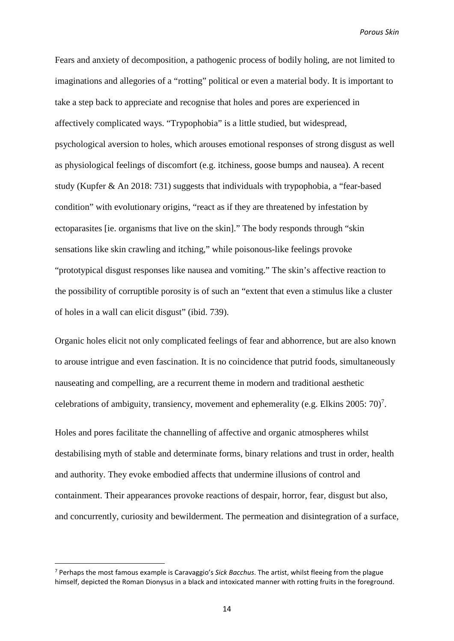Fears and anxiety of decomposition, a pathogenic process of bodily holing, are not limited to imaginations and allegories of a "rotting" political or even a material body. It is important to take a step back to appreciate and recognise that holes and pores are experienced in affectively complicated ways. "Trypophobia" is a little studied, but widespread, psychological aversion to holes, which arouses emotional responses of strong disgust as well as physiological feelings of discomfort (e.g. itchiness, goose bumps and nausea). A recent study (Kupfer & An 2018: 731) suggests that individuals with trypophobia, a "fear-based condition" with evolutionary origins, "react as if they are threatened by infestation by ectoparasites [ie. organisms that live on the skin]." The body responds through "skin sensations like skin crawling and itching," while poisonous-like feelings provoke "prototypical disgust responses like nausea and vomiting." The skin's affective reaction to the possibility of corruptible porosity is of such an "extent that even a stimulus like a cluster of holes in a wall can elicit disgust" (ibid. 739).

Organic holes elicit not only complicated feelings of fear and abhorrence, but are also known to arouse intrigue and even fascination. It is no coincidence that putrid foods, simultaneously nauseating and compelling, are a recurrent theme in modern and traditional aesthetic celebrations of ambiguity, transiency, movement and ephemerality (e.g. Elkins 2005:  $70$ )<sup>7</sup>.

Holes and pores facilitate the channelling of affective and organic atmospheres whilst destabilising myth of stable and determinate forms, binary relations and trust in order, health and authority. They evoke embodied affects that undermine illusions of control and containment. Their appearances provoke reactions of despair, horror, fear, disgust but also, and concurrently, curiosity and bewilderment. The permeation and disintegration of a surface,

 <sup>7</sup> Perhaps the most famous example is Caravaggio's *Sick Bacchus*. The artist, whilst fleeing from the plague himself, depicted the Roman Dionysus in a black and intoxicated manner with rotting fruits in the foreground.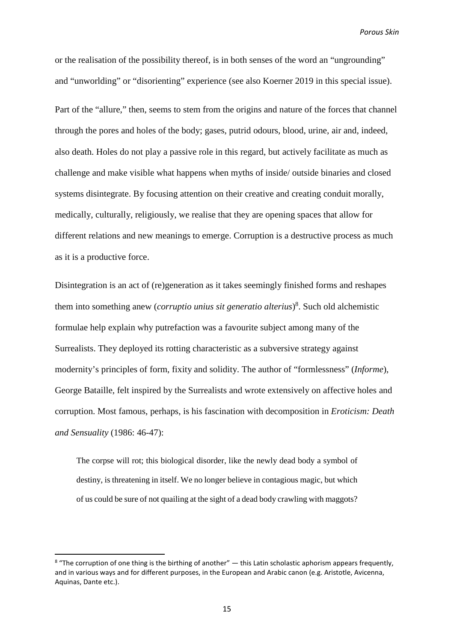or the realisation of the possibility thereof, is in both senses of the word an "ungrounding" and "unworlding" or "disorienting" experience (see also Koerner 2019 in this special issue).

Part of the "allure," then, seems to stem from the origins and nature of the forces that channel through the pores and holes of the body; gases, putrid odours, blood, urine, air and, indeed, also death. Holes do not play a passive role in this regard, but actively facilitate as much as challenge and make visible what happens when myths of inside/ outside binaries and closed systems disintegrate. By focusing attention on their creative and creating conduit morally, medically, culturally, religiously, we realise that they are opening spaces that allow for different relations and new meanings to emerge. Corruption is a destructive process as much as it is a productive force.

Disintegration is an act of (re)generation as it takes seemingly finished forms and reshapes them into something anew (*corruptio unius sit generatio alterius*) 8 . Such old alchemistic formulae help explain why putrefaction was a favourite subject among many of the Surrealists. They deployed its rotting characteristic as a subversive strategy against modernity's principles of form, fixity and solidity. The author of "formlessness" (*Informe*), George Bataille, felt inspired by the Surrealists and wrote extensively on affective holes and corruption. Most famous, perhaps, is his fascination with decomposition in *Eroticism: Death and Sensuality* (1986: 46-47):

The corpse will rot; this biological disorder, like the newly dead body a symbol of destiny, is threatening in itself. We no longer believe in contagious magic, but which of us could be sure of not quailing at the sight of a dead body crawling with maggots?

<sup>&</sup>lt;sup>8</sup> "The corruption of one thing is the birthing of another" — this Latin scholastic aphorism appears frequently, and in various ways and for different purposes, in the European and Arabic canon (e.g. Aristotle, Avicenna, Aquinas, Dante etc.).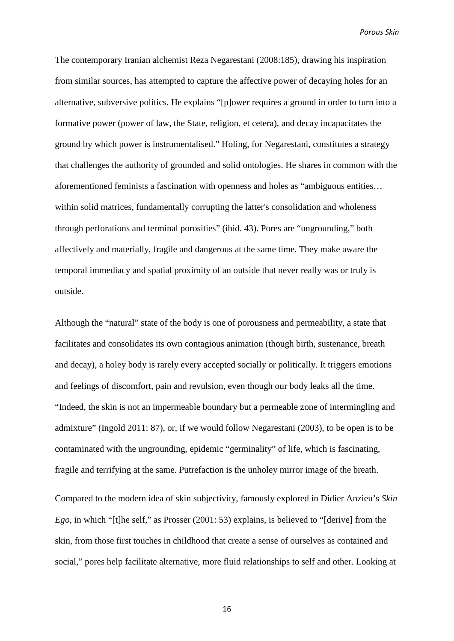The contemporary Iranian alchemist Reza Negarestani (2008:185), drawing his inspiration from similar sources, has attempted to capture the affective power of decaying holes for an alternative, subversive politics. He explains "[p]ower requires a ground in order to turn into a formative power (power of law, the State, religion, et cetera), and decay incapacitates the ground by which power is instrumentalised." Holing, for Negarestani, constitutes a strategy that challenges the authority of grounded and solid ontologies. He shares in common with the aforementioned feminists a fascination with openness and holes as "ambiguous entities… within solid matrices, fundamentally corrupting the latter's consolidation and wholeness through perforations and terminal porosities" (ibid. 43). Pores are "ungrounding," both affectively and materially, fragile and dangerous at the same time. They make aware the temporal immediacy and spatial proximity of an outside that never really was or truly is outside.

Although the "natural" state of the body is one of porousness and permeability, a state that facilitates and consolidates its own contagious animation (though birth, sustenance, breath and decay), a holey body is rarely every accepted socially or politically. It triggers emotions and feelings of discomfort, pain and revulsion, even though our body leaks all the time. "Indeed, the skin is not an impermeable boundary but a permeable zone of intermingling and admixture" (Ingold 2011: 87), or, if we would follow Negarestani (2003), to be open is to be contaminated with the ungrounding, epidemic "germinality" of life, which is fascinating, fragile and terrifying at the same. Putrefaction is the unholey mirror image of the breath.

Compared to the modern idea of skin subjectivity, famously explored in Didier Anzieu's *Skin Ego*, in which "[t]he self," as Prosser (2001: 53) explains, is believed to "[derive] from the skin, from those first touches in childhood that create a sense of ourselves as contained and social," pores help facilitate alternative, more fluid relationships to self and other. Looking at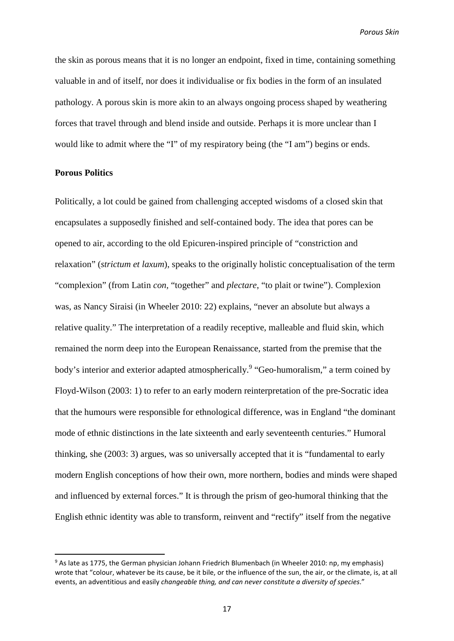the skin as porous means that it is no longer an endpoint, fixed in time, containing something valuable in and of itself, nor does it individualise or fix bodies in the form of an insulated pathology. A porous skin is more akin to an always ongoing process shaped by weathering forces that travel through and blend inside and outside. Perhaps it is more unclear than I would like to admit where the "I" of my respiratory being (the "I am") begins or ends.

### **Porous Politics**

Politically, a lot could be gained from challenging accepted wisdoms of a closed skin that encapsulates a supposedly finished and self-contained body. The idea that pores can be opened to air, according to the old Epicuren-inspired principle of "constriction and relaxation" (*strictum et laxum*), speaks to the originally holistic conceptualisation of the term "complexion" (from Latin *con,* "together" and *plectare*, "to plait or twine"). Complexion was, as Nancy Siraisi (in Wheeler 2010: 22) explains, "never an absolute but always a relative quality." The interpretation of a readily receptive, malleable and fluid skin, which remained the norm deep into the European Renaissance, started from the premise that the body's interior and exterior adapted atmospherically.<sup>9</sup> "Geo-humoralism," a term coined by Floyd-Wilson (2003: 1) to refer to an early modern reinterpretation of the pre-Socratic idea that the humours were responsible for ethnological difference, was in England "the dominant mode of ethnic distinctions in the late sixteenth and early seventeenth centuries." Humoral thinking, she (2003: 3) argues, was so universally accepted that it is "fundamental to early modern English conceptions of how their own, more northern, bodies and minds were shaped and influenced by external forces." It is through the prism of geo-humoral thinking that the English ethnic identity was able to transform, reinvent and "rectify" itself from the negative

 <sup>9</sup> As late as 1775, the German physician Johann Friedrich Blumenbach (in Wheeler 2010: np, my emphasis) wrote that "colour, whatever be its cause, be it bile, or the influence of the sun, the air, or the climate, is, at all events, an adventitious and easily *changeable thing, and can never constitute a diversity of species*."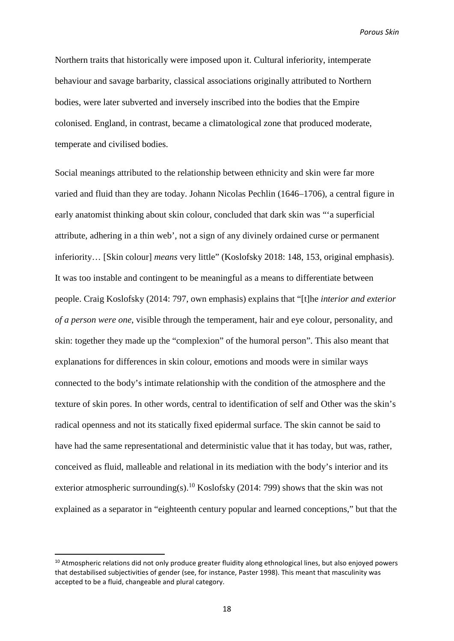Northern traits that historically were imposed upon it. Cultural inferiority, intemperate behaviour and savage barbarity, classical associations originally attributed to Northern bodies, were later subverted and inversely inscribed into the bodies that the Empire colonised. England, in contrast, became a climatological zone that produced moderate, temperate and civilised bodies.

Social meanings attributed to the relationship between ethnicity and skin were far more varied and fluid than they are today. Johann Nicolas Pechlin (1646–1706), a central figure in early anatomist thinking about skin colour, concluded that dark skin was "'a superficial attribute, adhering in a thin web', not a sign of any divinely ordained curse or permanent inferiority… [Skin colour] *means* very little" (Koslofsky 2018: 148, 153, original emphasis). It was too instable and contingent to be meaningful as a means to differentiate between people. Craig Koslofsky (2014: 797, own emphasis) explains that "[t]he *interior and exterior of a person were one*, visible through the temperament, hair and eye colour, personality, and skin: together they made up the "complexion" of the humoral person". This also meant that explanations for differences in skin colour, emotions and moods were in similar ways connected to the body's intimate relationship with the condition of the atmosphere and the texture of skin pores. In other words, central to identification of self and Other was the skin's radical openness and not its statically fixed epidermal surface. The skin cannot be said to have had the same representational and deterministic value that it has today, but was, rather, conceived as fluid, malleable and relational in its mediation with the body's interior and its exterior atmospheric surrounding(s).<sup>10</sup> Koslofsky (2014: 799) shows that the skin was not explained as a separator in "eighteenth century popular and learned conceptions," but that the

<sup>&</sup>lt;sup>10</sup> Atmospheric relations did not only produce greater fluidity along ethnological lines, but also enjoyed powers that destabilised subjectivities of gender (see, for instance, Paster 1998). This meant that masculinity was accepted to be a fluid, changeable and plural category.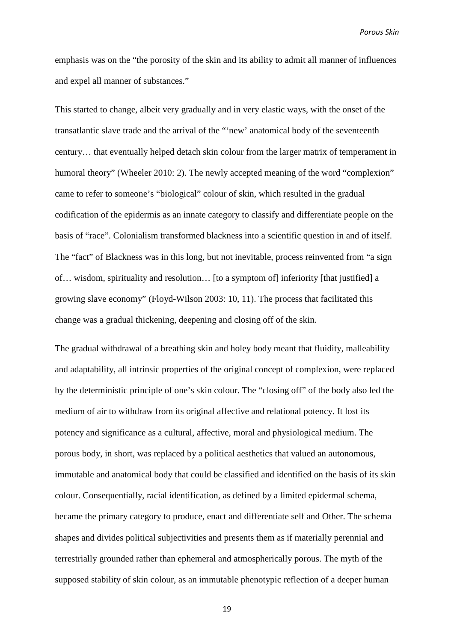emphasis was on the "the porosity of the skin and its ability to admit all manner of influences and expel all manner of substances."

This started to change, albeit very gradually and in very elastic ways, with the onset of the transatlantic slave trade and the arrival of the "'new' anatomical body of the seventeenth century… that eventually helped detach skin colour from the larger matrix of temperament in humoral theory" (Wheeler 2010: 2). The newly accepted meaning of the word "complexion" came to refer to someone's "biological" colour of skin, which resulted in the gradual codification of the epidermis as an innate category to classify and differentiate people on the basis of "race". Colonialism transformed blackness into a scientific question in and of itself. The "fact" of Blackness was in this long, but not inevitable, process reinvented from "a sign of… wisdom, spirituality and resolution… [to a symptom of] inferiority [that justified] a growing slave economy" (Floyd-Wilson 2003: 10, 11). The process that facilitated this change was a gradual thickening, deepening and closing off of the skin.

The gradual withdrawal of a breathing skin and holey body meant that fluidity, malleability and adaptability, all intrinsic properties of the original concept of complexion, were replaced by the deterministic principle of one's skin colour. The "closing off" of the body also led the medium of air to withdraw from its original affective and relational potency. It lost its potency and significance as a cultural, affective, moral and physiological medium. The porous body, in short, was replaced by a political aesthetics that valued an autonomous, immutable and anatomical body that could be classified and identified on the basis of its skin colour. Consequentially, racial identification, as defined by a limited epidermal schema, became the primary category to produce, enact and differentiate self and Other. The schema shapes and divides political subjectivities and presents them as if materially perennial and terrestrially grounded rather than ephemeral and atmospherically porous. The myth of the supposed stability of skin colour, as an immutable phenotypic reflection of a deeper human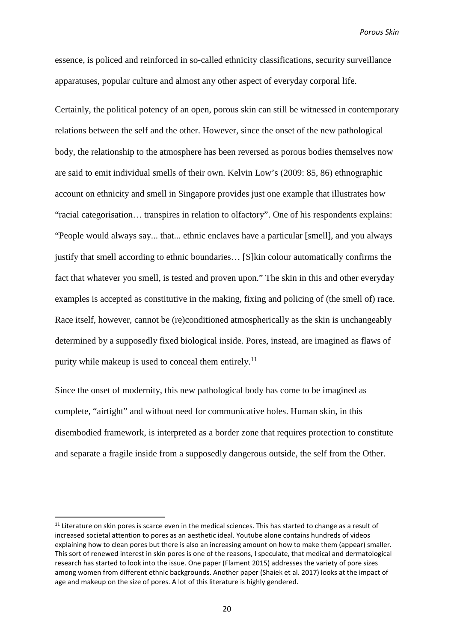essence, is policed and reinforced in so-called ethnicity classifications, security surveillance apparatuses, popular culture and almost any other aspect of everyday corporal life.

Certainly, the political potency of an open, porous skin can still be witnessed in contemporary relations between the self and the other. However, since the onset of the new pathological body, the relationship to the atmosphere has been reversed as porous bodies themselves now are said to emit individual smells of their own. Kelvin Low's (2009: 85, 86) ethnographic account on ethnicity and smell in Singapore provides just one example that illustrates how "racial categorisation… transpires in relation to olfactory". One of his respondents explains: "People would always say... that... ethnic enclaves have a particular [smell], and you always justify that smell according to ethnic boundaries… [S]kin colour automatically confirms the fact that whatever you smell, is tested and proven upon." The skin in this and other everyday examples is accepted as constitutive in the making, fixing and policing of (the smell of) race. Race itself, however, cannot be (re)conditioned atmospherically as the skin is unchangeably determined by a supposedly fixed biological inside. Pores, instead, are imagined as flaws of purity while makeup is used to conceal them entirely.<sup>11</sup>

Since the onset of modernity, this new pathological body has come to be imagined as complete, "airtight" and without need for communicative holes. Human skin, in this disembodied framework, is interpreted as a border zone that requires protection to constitute and separate a fragile inside from a supposedly dangerous outside, the self from the Other.

 $11$  Literature on skin pores is scarce even in the medical sciences. This has started to change as a result of increased societal attention to pores as an aesthetic ideal. Youtube alone contains hundreds of videos explaining how to clean pores but there is also an increasing amount on how to make them (appear) smaller. This sort of renewed interest in skin pores is one of the reasons, I speculate, that medical and dermatological research has started to look into the issue. One paper (Flament 2015) addresses the variety of pore sizes among women from different ethnic backgrounds. Another paper (Shaiek et al. 2017) looks at the impact of age and makeup on the size of pores. A lot of this literature is highly gendered.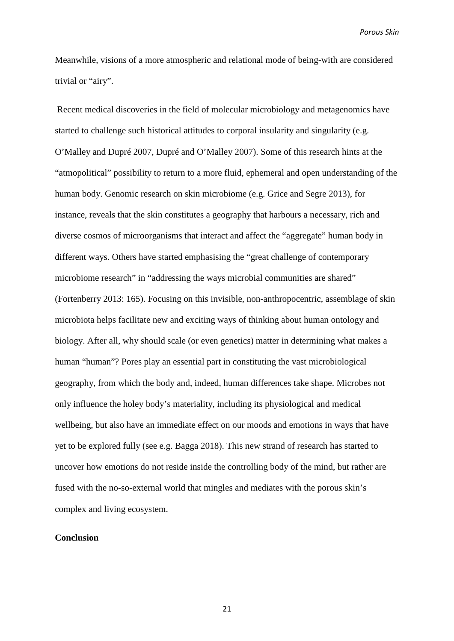Meanwhile, visions of a more atmospheric and relational mode of being-with are considered trivial or "airy".

Recent medical discoveries in the field of molecular microbiology and metagenomics have started to challenge such historical attitudes to corporal insularity and singularity (e.g. O'Malley and Dupré 2007, Dupré and O'Malley 2007). Some of this research hints at the "atmopolitical" possibility to return to a more fluid, ephemeral and open understanding of the human body. Genomic research on skin microbiome (e.g. Grice and Segre 2013), for instance, reveals that the skin constitutes a geography that harbours a necessary, rich and diverse cosmos of microorganisms that interact and affect the "aggregate" human body in different ways. Others have started emphasising the "great challenge of contemporary microbiome research" in "addressing the ways microbial communities are shared" (Fortenberry 2013: 165). Focusing on this invisible, non-anthropocentric, assemblage of skin microbiota helps facilitate new and exciting ways of thinking about human ontology and biology. After all, why should scale (or even genetics) matter in determining what makes a human "human"? Pores play an essential part in constituting the vast microbiological geography, from which the body and, indeed, human differences take shape. Microbes not only influence the holey body's materiality, including its physiological and medical wellbeing, but also have an immediate effect on our moods and emotions in ways that have yet to be explored fully (see e.g. Bagga 2018). This new strand of research has started to uncover how emotions do not reside inside the controlling body of the mind, but rather are fused with the no-so-external world that mingles and mediates with the porous skin's complex and living ecosystem.

### **Conclusion**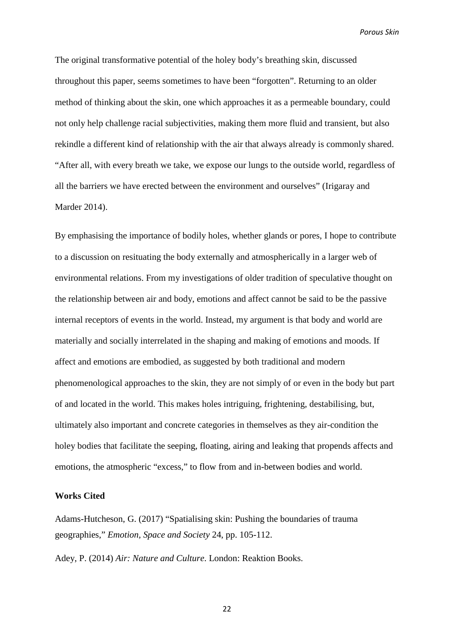The original transformative potential of the holey body's breathing skin, discussed throughout this paper, seems sometimes to have been "forgotten". Returning to an older method of thinking about the skin, one which approaches it as a permeable boundary, could not only help challenge racial subjectivities, making them more fluid and transient, but also rekindle a different kind of relationship with the air that always already is commonly shared. "After all, with every breath we take, we expose our lungs to the outside world, regardless of all the barriers we have erected between the environment and ourselves" (Irigaray and Marder 2014).

By emphasising the importance of bodily holes, whether glands or pores, I hope to contribute to a discussion on resituating the body externally and atmospherically in a larger web of environmental relations. From my investigations of older tradition of speculative thought on the relationship between air and body, emotions and affect cannot be said to be the passive internal receptors of events in the world. Instead, my argument is that body and world are materially and socially interrelated in the shaping and making of emotions and moods. If affect and emotions are embodied, as suggested by both traditional and modern phenomenological approaches to the skin, they are not simply of or even in the body but part of and located in the world. This makes holes intriguing, frightening, destabilising, but, ultimately also important and concrete categories in themselves as they air-condition the holey bodies that facilitate the seeping, floating, airing and leaking that propends affects and emotions, the atmospheric "excess," to flow from and in-between bodies and world.

### **Works Cited**

Adams-Hutcheson, G. (2017) "Spatialising skin: Pushing the boundaries of trauma geographies," *Emotion, Space and Society* 24, pp. 105-112.

Adey, P. (2014) *Air: Nature and Culture*. London: Reaktion Books.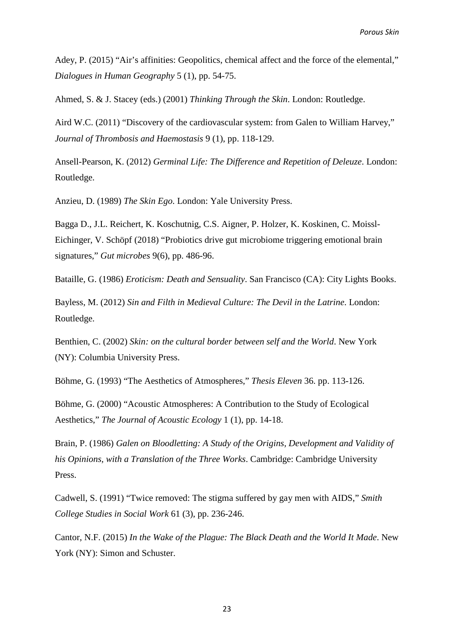Adey, P. (2015) "Air's affinities: Geopolitics, chemical affect and the force of the elemental," *Dialogues in Human Geography* 5 (1), pp. 54-75.

Ahmed, S. & J. Stacey (eds.) (2001) *Thinking Through the Skin*. London: Routledge.

Aird W.C. (2011) "Discovery of the cardiovascular system: from Galen to William Harvey," *Journal of Thrombosis and Haemostasis* 9 (1), pp. 118-129.

Ansell-Pearson, K. (2012) *Germinal Life: The Difference and Repetition of Deleuze*. London: Routledge.

Anzieu, D. (1989) *The Skin Ego*. London: Yale University Press.

Bagga D., J.L. Reichert, K. Koschutnig, C.S. Aigner, P. Holzer, K. Koskinen, C. Moissl-Eichinger, V. Schöpf (2018) "Probiotics drive gut microbiome triggering emotional brain signatures," *Gut microbes* 9(6), pp. 486-96.

Bataille, G. (1986) *Eroticism: Death and Sensuality*. San Francisco (CA): City Lights Books.

Bayless, M. (2012) *Sin and Filth in Medieval Culture: The Devil in the Latrine*. London: Routledge.

Benthien, C. (2002) *Skin: on the cultural border between self and the World*. New York (NY): Columbia University Press.

Böhme, G. (1993) "The Aesthetics of Atmospheres," *Thesis Eleven* 36. pp. 113-126.

Böhme, G. (2000) "Acoustic Atmospheres: A Contribution to the Study of Ecological Aesthetics," *The Journal of Acoustic Ecology* 1 (1), pp. 14-18.

Brain, P. (1986) *Galen on Bloodletting: A Study of the Origins, Development and Validity of his Opinions, with a Translation of the Three Works*. Cambridge: Cambridge University Press.

Cadwell, S. (1991) "Twice removed: The stigma suffered by gay men with AIDS," *Smith College Studies in Social Work* 61 (3), pp. 236-246.

Cantor, N.F. (2015) *In the Wake of the Plague: The Black Death and the World It Made*. New York (NY): Simon and Schuster.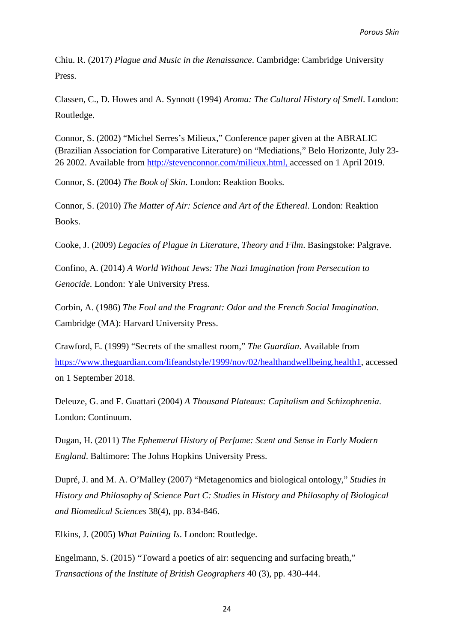Chiu. R. (2017) *Plague and Music in the Renaissance*. Cambridge: Cambridge University Press.

Classen, C., D. Howes and A. Synnott (1994) *Aroma: The Cultural History of Smell*. London: Routledge.

Connor, S. (2002) "Michel Serres's Milieux," Conference paper given at the ABRALIC (Brazilian Association for Comparative Literature) on "Mediations," Belo Horizonte, July 23- 26 2002. Available from [http://stevenconnor.com/milieux.html,](http://stevenconnor.com/milieux.html) accessed on 1 April 2019.

Connor, S. (2004) *The Book of Skin*. London: Reaktion Books.

Connor, S. (2010) *The Matter of Air: Science and Art of the Ethereal*. London: Reaktion Books.

Cooke, J. (2009) *Legacies of Plague in Literature, Theory and Film*. Basingstoke: Palgrave.

Confino, A. (2014) *A World Without Jews: The Nazi Imagination from Persecution to Genocide*. London: Yale University Press.

Corbin, A. (1986) *The Foul and the Fragrant: Odor and the French Social Imagination*. Cambridge (MA): Harvard University Press.

Crawford, E. (1999) "Secrets of the smallest room," *The Guardian*. Available from [https://www.theguardian.com/lifeandstyle/1999/nov/02/healthandwellbeing.health1,](https://www.theguardian.com/lifeandstyle/1999/nov/02/healthandwellbeing.health1) accessed on 1 September 2018.

Deleuze, G. and F. Guattari (2004) *A Thousand Plateaus: Capitalism and Schizophrenia*. London: Continuum.

Dugan, H. (2011) *The Ephemeral History of Perfume: Scent and Sense in Early Modern England*. Baltimore: The Johns Hopkins University Press.

Dupré, J. and M. A. O'Malley (2007) "Metagenomics and biological ontology," *Studies in History and Philosophy of Science Part C: Studies in History and Philosophy of Biological and Biomedical Sciences* 38(4), pp. 834-846.

Elkins, J. (2005) *What Painting Is*. London: Routledge.

Engelmann, S. (2015) "Toward a poetics of air: sequencing and surfacing breath," *Transactions of the Institute of British Geographers* 40 (3), pp. 430-444.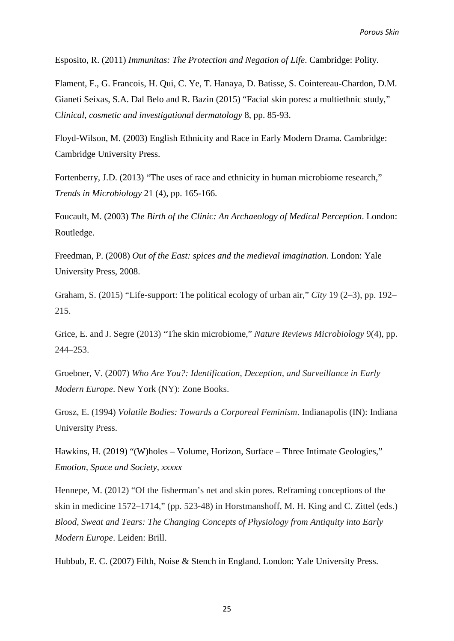Esposito, R. (2011) *Immunitas: The Protection and Negation of Life*. Cambridge: Polity.

Flament, F., G. Francois, H. Qui, C. Ye, T. Hanaya, D. Batisse, S. Cointereau-Chardon, D.M. Gianeti Seixas, S.A. Dal Belo and R. Bazin (2015) "Facial skin pores: a multiethnic study," C*linical, cosmetic and investigational dermatology* 8, pp. 85-93.

Floyd-Wilson, M. (2003) English Ethnicity and Race in Early Modern Drama. Cambridge: Cambridge University Press.

Fortenberry, J.D. (2013) "The uses of race and ethnicity in human microbiome research," *Trends in Microbiology* 21 (4), pp. 165-166.

Foucault, M. (2003) *The Birth of the Clinic: An Archaeology of Medical Perception*. London: Routledge.

Freedman, P. (2008) *Out of the East: spices and the medieval imagination*. London: Yale University Press, 2008.

Graham, S. (2015) "Life-support: The political ecology of urban air," *City* 19 (2–3), pp. 192– 215.

Grice, E. and J. Segre (2013) "The skin microbiome," *Nature Reviews Microbiology* 9(4), pp. 244–253.

Groebner, V. (2007) *Who Are You?: Identification, Deception, and Surveillance in Early Modern Europe*. New York (NY): Zone Books.

Grosz, E. (1994) *Volatile Bodies: Towards a Corporeal Feminism*. Indianapolis (IN): Indiana University Press.

Hawkins, H. (2019) "(W)holes – Volume, Horizon, Surface – Three Intimate Geologies," *Emotion, Space and Society, xxxxx* 

Hennepe, M. (2012) "Of the fisherman's net and skin pores. Reframing conceptions of the skin in medicine 1572–1714," (pp. 523-48) in Horstmanshoff, M. H. King and C. Zittel (eds.) *Blood, Sweat and Tears: The Changing Concepts of Physiology from Antiquity into Early Modern Europe*. Leiden: Brill.

Hubbub, E. C. (2007) Filth, Noise & Stench in England. London: Yale University Press.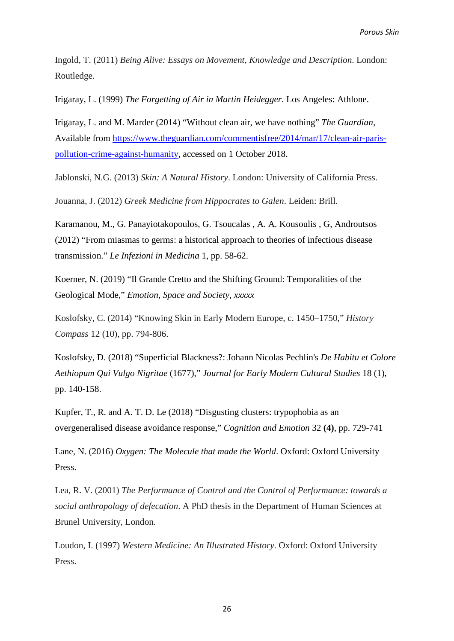Ingold, T. (2011) *Being Alive: Essays on Movement, Knowledge and Description*. London: Routledge.

Irigaray, L. (1999) *The Forgetting of Air in Martin Heidegger*. Los Angeles: Athlone.

Irigaray, L. and M. Marder (2014) "Without clean air, we have nothing" *The Guardian*, Available from [https://www.theguardian.com/commentisfree/2014/mar/17/clean-air-paris](https://www.theguardian.com/commentisfree/2014/mar/17/clean-air-paris-pollution-crime-against-humanity)[pollution-crime-against-humanity,](https://www.theguardian.com/commentisfree/2014/mar/17/clean-air-paris-pollution-crime-against-humanity) accessed on 1 October 2018.

Jablonski, N.G. (2013) *Skin: A Natural History*. London: University of California Press.

Jouanna, J. (2012) *Greek Medicine from Hippocrates to Galen*. Leiden: Brill.

Karamanou, M., G. Panayiotakopoulos, G. Tsoucalas , A. A. Kousoulis , G, Androutsos (2012) "From miasmas to germs: a historical approach to theories of infectious disease transmission." *Le Infezioni in Medicina* 1, pp. 58-62.

Koerner, N. (2019) "Il Grande Cretto and the Shifting Ground: Temporalities of the Geological Mode," *Emotion, Space and Society, xxxxx* 

Koslofsky, C. (2014) "Knowing Skin in Early Modern Europe, c. 1450–1750," *History Compass* 12 (10), pp. 794-806.

Koslofsky, D. (2018) "Superficial Blackness?: Johann Nicolas Pechlin's *De Habitu et Colore Aethiopum Qui Vulgo Nigritae* (1677)," *Journal for Early Modern Cultural Studies* 18 (1), pp. 140-158.

Kupfer, T., R. and A. T. D. Le (2018) "Disgusting clusters: trypophobia as an overgeneralised disease avoidance response," *Cognition and Emotion* 32 **(4)**, pp. 729-741

Lane, N. (2016) *Oxygen: The Molecule that made the World*. Oxford: Oxford University Press.

Lea, R. V. (2001) *The Performance of Control and the Control of Performance: towards a social anthropology of defecation*. A PhD thesis in the Department of Human Sciences at Brunel University, London.

Loudon, I. (1997) *Western Medicine: An Illustrated History*. Oxford: Oxford University Press.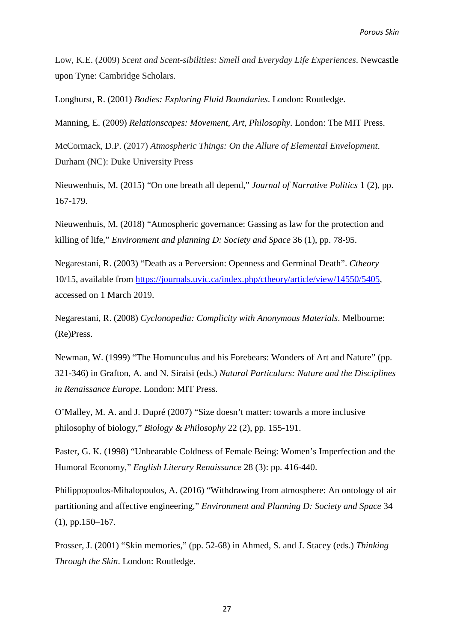Low, K.E. (2009) *Scent and Scent-sibilities: Smell and Everyday Life Experiences*. Newcastle upon Tyne: Cambridge Scholars.

Longhurst, R. (2001) *Bodies: Exploring Fluid Boundaries*. London: Routledge.

Manning, E. (2009) *Relationscapes: Movement, Art, Philosophy*. London: The MIT Press.

McCormack, D.P. (2017) *Atmospheric Things: On the Allure of Elemental Envelopment*. Durham (NC): Duke University Press

Nieuwenhuis, M. (2015) "On one breath all depend," *Journal of Narrative Politics* 1 (2), pp. 167-179.

Nieuwenhuis, M. (2018) "Atmospheric governance: Gassing as law for the protection and killing of life," *Environment and planning D: Society and Space* 36 (1), pp. 78-95.

Negarestani, R. (2003) "Death as a Perversion: Openness and Germinal Death". *Ctheory* 10/15, available from [https://journals.uvic.ca/index.php/ctheory/article/view/14550/5405,](https://journals.uvic.ca/index.php/ctheory/article/view/14550/5405) accessed on 1 March 2019.

Negarestani, R. (2008) *Cyclonopedia: Complicity with Anonymous Materials*. Melbourne: (Re)Press.

Newman, W. (1999) "The Homunculus and his Forebears: Wonders of Art and Nature" (pp. 321-346) in Grafton, A. and N. Siraisi (eds.) *Natural Particulars: Nature and the Disciplines in Renaissance Europe*. London: MIT Press.

O'Malley, M. A. and J. Dupré (2007) "Size doesn't matter: towards a more inclusive philosophy of biology," *Biology & Philosophy* 22 (2), pp. 155-191.

Paster, G. K. (1998) "Unbearable Coldness of Female Being: Women's Imperfection and the Humoral Economy," *English Literary Renaissance* 28 (3): pp. 416-440.

Philippopoulos-Mihalopoulos, A. (2016) "Withdrawing from atmosphere: An ontology of air partitioning and affective engineering," *Environment and Planning D: Society and Space* 34 (1), pp.150–167.

Prosser, J. (2001) "Skin memories," (pp. 52-68) in Ahmed, S. and J. Stacey (eds.) *Thinking Through the Skin*. London: Routledge.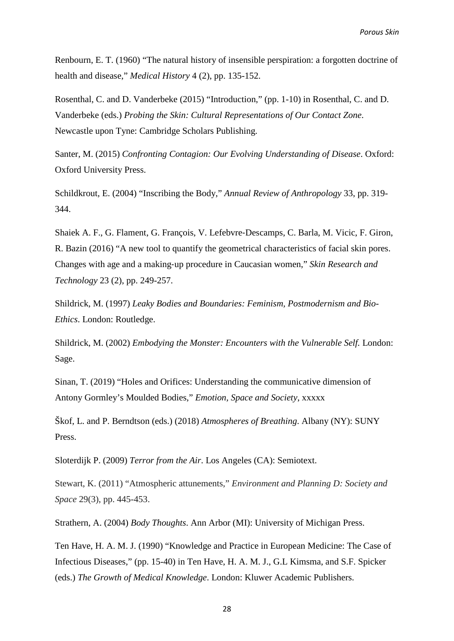Renbourn, E. T. (1960) "The natural history of insensible perspiration: a forgotten doctrine of health and disease," *Medical History* 4 (2), pp. 135-152.

Rosenthal, C. and D. Vanderbeke (2015) "Introduction," (pp. 1-10) in Rosenthal, C. and D. Vanderbeke (eds.) *Probing the Skin: Cultural Representations of Our Contact Zone*. Newcastle upon Tyne: Cambridge Scholars Publishing.

Santer, M. (2015) *Confronting Contagion: Our Evolving Understanding of Disease*. Oxford: Oxford University Press.

Schildkrout, E. (2004) "Inscribing the Body," *Annual Review of Anthropology* 33, pp. 319- 344.

Shaiek A. F., G. Flament, G. François, V. Lefebvre‐Descamps, C. Barla, M. Vicic, F. Giron, R. Bazin (2016) "A new tool to quantify the geometrical characteristics of facial skin pores. Changes with age and a making‐up procedure in Caucasian women," *Skin Research and Technology* 23 (2), pp. 249-257.

Shildrick, M. (1997) *Leaky Bodies and Boundaries: Feminism, Postmodernism and Bio-Ethics*. London: Routledge.

Shildrick, M. (2002) *Embodying the Monster: Encounters with the Vulnerable Self.* London: Sage.

Sinan, T. (2019) "Holes and Orifices: Understanding the communicative dimension of Antony Gormley's Moulded Bodies," *Emotion, Space and Society*, xxxxx

Škof, L. and P. Berndtson (eds.) (2018) *Atmospheres of Breathing*. Albany (NY): SUNY Press.

Sloterdijk P. (2009) *Terror from the Air*. Los Angeles (CA): Semiotext.

Stewart, K. (2011) "Atmospheric attunements," *Environment and Planning D: Society and Space* 29(3), pp. 445-453.

Strathern, A. (2004) *Body Thoughts*. Ann Arbor (MI): University of Michigan Press.

Ten Have, H. A. M. J. (1990) "Knowledge and Practice in European Medicine: The Case of Infectious Diseases," (pp. 15-40) in Ten Have, H. A. M. J., G.L Kimsma, and S.F. Spicker (eds.) *The Growth of Medical Knowledge*. London: Kluwer Academic Publishers.